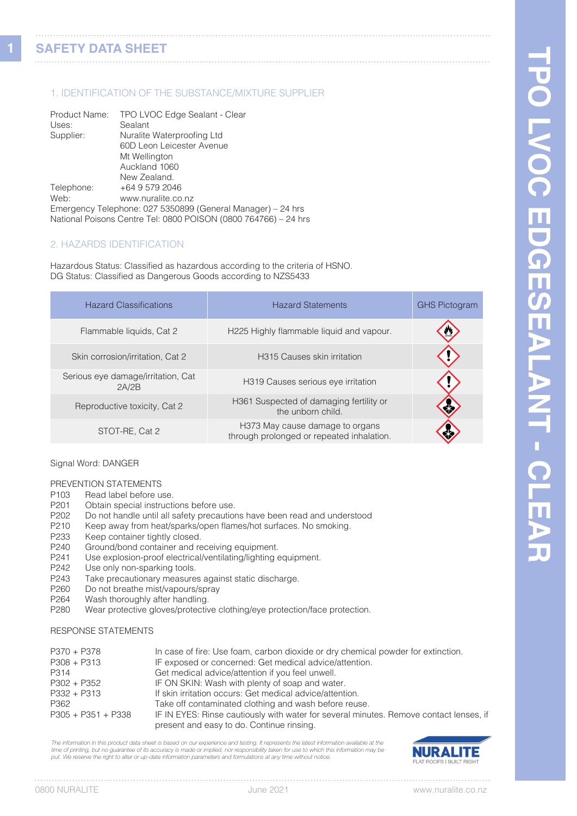**1**

# 1. IDENTIFICATION OF THE SUBSTANCE/MIXTURE SUPPLIER

| Product Name: | TPO LVOC Edge Sealant - Clear                                   |
|---------------|-----------------------------------------------------------------|
| Uses:         | Sealant                                                         |
| Supplier:     | Nuralite Waterproofing Ltd                                      |
|               | 60D Leon Leicester Avenue                                       |
|               | Mt Wellington                                                   |
|               | Auckland 1060                                                   |
|               | New Zealand.                                                    |
| Telephone:    | +64 9 579 2046                                                  |
| Web:          | www.nuralite.co.nz                                              |
|               | Emergency Telephone: 027 5350899 (General Manager) – 24 hrs     |
|               | National Poisons Centre Tel: 0800 POISON (0800 764766) - 24 hrs |

# 2. HAZARDS IDENTIFICATION

Hazardous Status: Classified as hazardous according to the criteria of HSNO. DG Status: Classified as Dangerous Goods according to NZS5433

| <b>Hazard Classifications</b>               | <b>Hazard Statements</b>                                                     | <b>GHS Pictogram</b> |
|---------------------------------------------|------------------------------------------------------------------------------|----------------------|
| Flammable liquids, Cat 2                    | H225 Highly flammable liquid and vapour.                                     |                      |
| Skin corrosion/irritation, Cat 2            | <b>H315 Causes skin irritation</b>                                           |                      |
| Serious eye damage/irritation, Cat<br>2A/2B | H319 Causes serious eye irritation                                           |                      |
| Reproductive toxicity, Cat 2                | H361 Suspected of damaging fertility or<br>the unborn child.                 |                      |
| STOT-RE, Cat 2                              | H373 May cause damage to organs<br>through prolonged or repeated inhalation. |                      |

#### Signal Word: DANGER

# PREVENTION STATEMENTS<br>P103 Read label before u

- Read label before use.
- P201 Obtain special instructions before use.<br>P202 Do not handle until all safety precaution
- P202 Do not handle until all safety precautions have been read and understood<br>P210 Keep away from heat/sparks/open flames/hot surfaces. No smoking.
- P210 Keep away from heat/sparks/open flames/hot surfaces. No smoking.<br>P233 Keep container tightly closed.
- P233 Keep container tightly closed.<br>P240 Ground/bond container and re
- Ground/bond container and receiving equipment.
- P241 Use explosion-proof electrical/ventilating/lighting equipment.
- P242 Use only non-sparking tools.<br>P243 Take precautionary measure
- P243 Take precautionary measures against static discharge.<br>P260 Do not breathe mist/vapours/spray
- P260 Do not breathe mist/vapours/spray<br>P264 Wash thoroughly after handling.
- Wash thoroughly after handling.
- P280 Wear protective gloves/protective clothing/eye protection/face protection.

### RESPONSE STATEMENTS

| $P370 + P378$        | In case of fire: Use foam, carbon dioxide or dry chemical powder for extinction.       |
|----------------------|----------------------------------------------------------------------------------------|
| $P308 + P313$        | IF exposed or concerned: Get medical advice/attention.                                 |
| P314                 | Get medical advice/attention if you feel unwell.                                       |
| P302 + P352          | IF ON SKIN: Wash with plenty of soap and water.                                        |
| $P332 + P313$        | If skin irritation occurs: Get medical advice/attention.                               |
| P362                 | Take off contaminated clothing and wash before reuse.                                  |
| $P305 + P351 + P338$ | IF IN EYES: Rinse cautiously with water for several minutes. Remove contact lenses, if |
|                      | present and easy to do. Continue rinsing.                                              |

*The information in this product data sheet is based on our experience and testing. It represents the latest information available at the time of printing, but no guarantee of its accuracy is made or implied, nor responsibility taken for use to which this information may be put. We reserve the right to alter or up-date information parameters and formulations at any time without notice.*

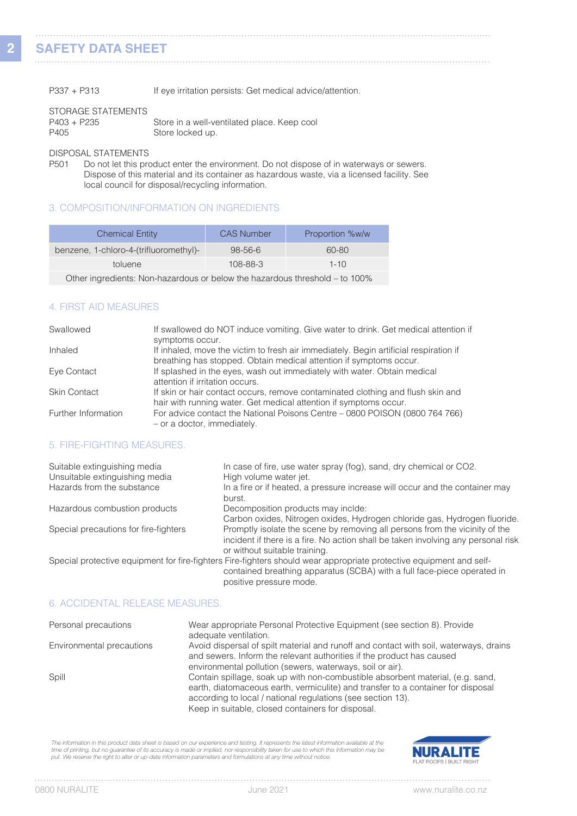**2**

| $P337 + P313$ |  | If eye irritation persists: Get medical advice/attention. |
|---------------|--|-----------------------------------------------------------|
|---------------|--|-----------------------------------------------------------|

# STORAGE STATEMENTS P405

| P403 + P235 | Store in a well-ventilated place. Keep cool |
|-------------|---------------------------------------------|
| P405        | Store locked up.                            |

# DISPOSAL STATEMENTS<br>P501 Do not let this pro

Do not let this product enter the environment. Do not dispose of in waterways or sewers. Dispose of this material and its container as hazardous waste, via a licensed facility. See local council for disposal/recycling information.

# 3. COMPOSITION/INFORMATION ON INGREDIENTS

| <b>Chemical Entity</b>                 | <b>CAS Number</b> | Proportion %w/w                                                                                                                                                                                                                                                                                                                    |
|----------------------------------------|-------------------|------------------------------------------------------------------------------------------------------------------------------------------------------------------------------------------------------------------------------------------------------------------------------------------------------------------------------------|
| benzene, 1-chloro-4-(trifluoromethyl)- | 98-56-6           | 60-80                                                                                                                                                                                                                                                                                                                              |
| toluene                                | 108-88-3          | $1 - 10$                                                                                                                                                                                                                                                                                                                           |
|                                        |                   | $\mathbf{1}$ $\mathbf{1}$ $\mathbf{1}$ $\mathbf{1}$ $\mathbf{1}$ $\mathbf{1}$ $\mathbf{1}$ $\mathbf{1}$ $\mathbf{1}$ $\mathbf{1}$ $\mathbf{1}$ $\mathbf{1}$ $\mathbf{1}$ $\mathbf{1}$ $\mathbf{1}$ $\mathbf{1}$ $\mathbf{1}$ $\mathbf{1}$ $\mathbf{1}$ $\mathbf{1}$ $\mathbf{1}$ $\mathbf{1}$ $\mathbf{1}$ $\mathbf{1}$ $\mathbf{$ |

Other ingredients: Non-hazardous or below the hazardous threshold – to 100%

# 4. FIRST AID MEASURES

| Swallowed           | If swallowed do NOT induce vomiting. Give water to drink. Get medical attention if<br>symptoms occur.                                                       |
|---------------------|-------------------------------------------------------------------------------------------------------------------------------------------------------------|
| Inhaled             | If inhaled, move the victim to fresh air immediately. Begin artificial respiration if<br>breathing has stopped. Obtain medical attention if symptoms occur. |
| Eye Contact         | If splashed in the eyes, wash out immediately with water. Obtain medical<br>attention if irritation occurs.                                                 |
| <b>Skin Contact</b> | If skin or hair contact occurs, remove contaminated clothing and flush skin and<br>hair with running water. Get medical attention if symptoms occur.        |
| Further Information | For advice contact the National Poisons Centre – 0800 POISON (0800 764 766)<br>- or a doctor, immediately.                                                  |

#### 5. FIRE-FIGHTING MEASURES.

| Suitable extinguishing media<br>Unsuitable extinguishing media | In case of fire, use water spray (fog), sand, dry chemical or CO2.<br>High volume water jet.                                                                                                                              |
|----------------------------------------------------------------|---------------------------------------------------------------------------------------------------------------------------------------------------------------------------------------------------------------------------|
| Hazards from the substance                                     | In a fire or if heated, a pressure increase will occur and the container may<br>burst.                                                                                                                                    |
| Hazardous combustion products                                  | Decomposition products may inclde:                                                                                                                                                                                        |
|                                                                | Carbon oxides, Nitrogen oxides, Hydrogen chloride gas, Hydrogen fluoride.                                                                                                                                                 |
| Special precautions for fire-fighters                          | Promptly isolate the scene by removing all persons from the vicinity of the<br>incident if there is a fire. No action shall be taken involving any personal risk<br>or without suitable training.                         |
|                                                                | Special protective equipment for fire-fighters Fire-fighters should wear appropriate protective equipment and self-<br>contained breathing apparatus (SCBA) with a full face-piece operated in<br>positive pressure mode. |

# 6. ACCIDENTAL RELEASE MEASURES.

| Personal precautions      | Wear appropriate Personal Protective Equipment (see section 8). Provide<br>adequate ventilation.                                                                                                                                                                                       |
|---------------------------|----------------------------------------------------------------------------------------------------------------------------------------------------------------------------------------------------------------------------------------------------------------------------------------|
| Environmental precautions | Avoid dispersal of spilt material and runoff and contact with soil, waterways, drains<br>and sewers. Inform the relevant authorities if the product has caused                                                                                                                         |
|                           | environmental pollution (sewers, waterways, soil or air).                                                                                                                                                                                                                              |
| Spill                     | Contain spillage, soak up with non-combustible absorbent material, (e.g. sand,<br>earth, diatomaceous earth, vermiculite) and transfer to a container for disposal<br>according to local / national regulations (see section 13).<br>Keep in suitable, closed containers for disposal. |

The information in this product data sheet is based on our experience and testing. It represents the latest information available at the time of printing, but no guarantee of its accuracy is made or implied, nor responsibility taken for use to which this information may be<br>put. We reserve the right to alter or up-date information parameters and formulations

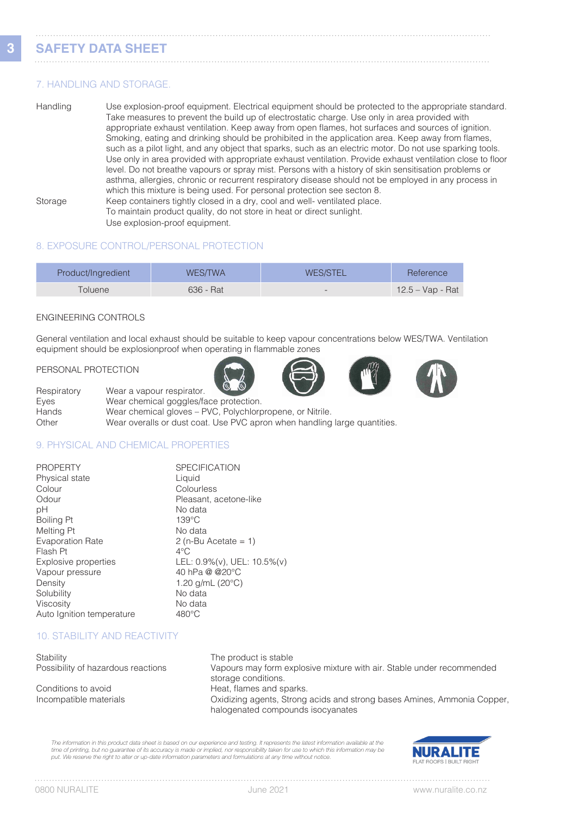# 7. HANDLING AND STORAGE.

Handling Use explosion-proof equipment. Electrical equipment should be protected to the appropriate standard. Take measures to prevent the build up of electrostatic charge. Use only in area provided with appropriate exhaust ventilation. Keep away from open flames, hot surfaces and sources of ignition. Smoking, eating and drinking should be prohibited in the application area. Keep away from flames, such as a pilot light, and any object that sparks, such as an electric motor. Do not use sparking tools. Use only in area provided with appropriate exhaust ventilation. Provide exhaust ventilation close to floor level. Do not breathe vapours or spray mist. Persons with a history of skin sensitisation problems or asthma, allergies, chronic or recurrent respiratory disease should not be employed in any process in which this mixture is being used. For personal protection see secton 8. Storage Keep containers tightly closed in a dry, cool and well- ventilated place. To maintain product quality, do not store in heat or direct sunlight.

Use explosion-proof equipment.

# 8. EXPOSURE CONTROL/PERSONAL PROTECTION

| Product/Ingredient | WES/TWA   | <b>WES/STEL</b>          | Reference        |
|--------------------|-----------|--------------------------|------------------|
| Toluene            | 636 - Rat | $\overline{\phantom{0}}$ | 12.5 – Vap - Rat |

#### ENGINEERING CONTROLS

General ventilation and local exhaust should be suitable to keep vapour concentrations below WES/TWA. Ventilation equipment should be explosionproof when operating in flammable zones

#### PERSONAL PROTECTION







Respiratory Wear a vapour respirator. Eyes Wear chemical goggles/face protection.<br>
Hands Wear chemical gloves – PVC. Polvchlorr Wear chemical gloves – PVC, Polychlorpropene, or Nitrile. Other Wear overalls or dust coat. Use PVC apron when handling large quantities.

# 9. PHYSICAL AND CHEMICAL PROPERTIES

| <b>PROPERTY</b>           | <b>SPECIFICATION</b>        |
|---------------------------|-----------------------------|
| Physical state            | Liquid                      |
| Colour                    | Colourless                  |
| Odour                     | Pleasant, acetone-like      |
| рH                        | No data                     |
| Boiling Pt                | $139^{\circ}$ C             |
| Melting Pt                | No data                     |
| <b>Evaporation Rate</b>   | $2$ (n-Bu Acetate = 1)      |
| Flash Pt                  | $4^{\circ}$ C               |
| Explosive properties      | LEL: 0.9%(v), UEL: 10.5%(v) |
| Vapour pressure           | 40 hPa @ @20°C              |
| Density                   | 1.20 $q/mL$ (20 $°C$ )      |
| Solubility                | No data                     |
| Viscosity                 | No data                     |
| Auto Ignition temperature | $480^{\circ}$ C             |

# 10. STABILITY AND REACTIVITY

| Stability                          | The product is stable                                                                        |
|------------------------------------|----------------------------------------------------------------------------------------------|
| Possibility of hazardous reactions | Vapours may form explosive mixture with air. Stable under recommended<br>storage conditions. |
| Conditions to avoid                | Heat, flames and sparks.                                                                     |
| Incompatible materials             | Oxidizing agents, Strong acids and strong bases Amines, Ammonia Copp                         |

g bases Amines, Ammonia Copper, halogenated compounds isocyanates

*The information in this product data sheet is based on our experience and testing. It represents the latest information available at the time of printing, but no guarantee of its accuracy is made or implied, nor responsibility taken for use to which this information may be put. We reserve the right to alter or up-date information parameters and formulations at any time without notice.*

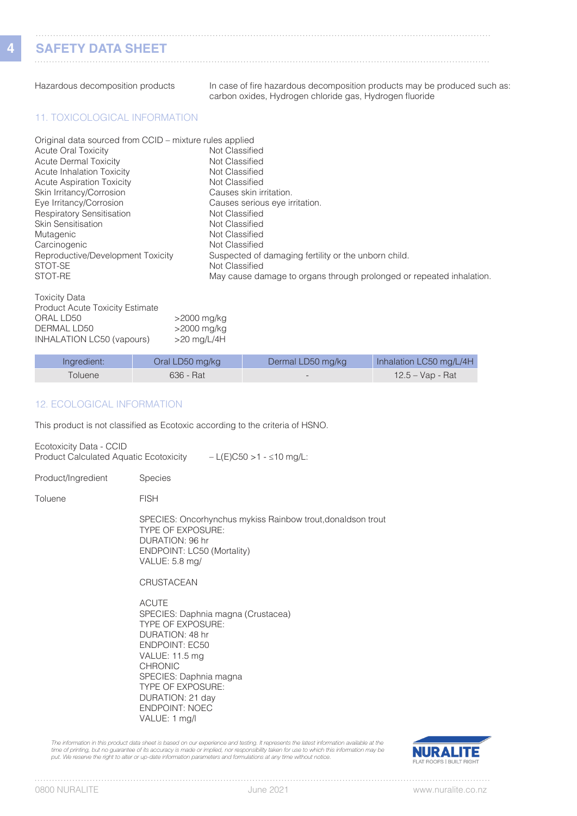**4**

| Hazardous decomposition products                                                                                                                                                                                                                                                                                                                                                                              | In case of fire hazardous decomposition products may be produced such as<br>carbon oxides, Hydrogen chloride gas, Hydrogen fluoride                                                                                                                                                                                                                         |
|---------------------------------------------------------------------------------------------------------------------------------------------------------------------------------------------------------------------------------------------------------------------------------------------------------------------------------------------------------------------------------------------------------------|-------------------------------------------------------------------------------------------------------------------------------------------------------------------------------------------------------------------------------------------------------------------------------------------------------------------------------------------------------------|
| <b>11. TOXICOLOGICAL INFORMATION</b>                                                                                                                                                                                                                                                                                                                                                                          |                                                                                                                                                                                                                                                                                                                                                             |
| Original data sourced from CCID – mixture rules applied<br><b>Acute Oral Toxicity</b><br><b>Acute Dermal Toxicity</b><br><b>Acute Inhalation Toxicity</b><br><b>Acute Aspiration Toxicity</b><br>Skin Irritancy/Corrosion<br>Eye Irritancy/Corrosion<br><b>Respiratory Sensitisation</b><br><b>Skin Sensitisation</b><br>Mutagenic<br>Carcinogenic<br>Reproductive/Development Toxicity<br>STOT-SE<br>STOT-RE | Not Classified<br>Not Classified<br>Not Classified<br>Not Classified<br>Causes skin irritation.<br>Causes serious eye irritation.<br>Not Classified<br>Not Classified<br>Not Classified<br>Not Classified<br>Suspected of damaging fertility or the unborn child.<br>Not Classified<br>May cause damage to organs through prolonged or repeated inhalation. |
| <b>Toxicity Data</b><br><b>Product Acute Toxicity Estimate</b><br>ORAL LD50                                                                                                                                                                                                                                                                                                                                   | >2000 mg/kg                                                                                                                                                                                                                                                                                                                                                 |

| Ingredient:    | Oral LD50 mg/kg | Dermal LD50 mg/kg        | Inhalation LC50 mg/L/4H |
|----------------|-----------------|--------------------------|-------------------------|
| <b>Toluene</b> | 636 - Rat       | $\overline{\phantom{0}}$ | 12.5 – Vap - Rat        |

#### 12. ECOLOGICAL INFORMATION

DERMAL LD50 >2000 mg/kg INHALATION LC50 (vapours) >20 mg/L/4H

This product is not classified as Ecotoxic according to the criteria of HSNO.

Ecotoxicity Data - CCID Product Calculated Aquatic Ecotoxicity – L(E)C50 >1 - ≤10 mg/L:

Product/Ingredient Species

Toluene FISH

 SPECIES: Oncorhynchus mykiss Rainbow trout,donaldson trout TYPE OF EXPOSURE: DURATION: 96 hr ENDPOINT: LC50 (Mortality) VALUE: 5.8 mg/

**CRUSTACEAN** 

 ACUTE SPECIES: Daphnia magna (Crustacea) TYPE OF EXPOSURE: DURATION: 48 hr ENDPOINT: EC50 VALUE: 11.5 mg CHRONIC SPECIES: Daphnia magna TYPE OF EXPOSURE: DURATION: 21 day ENDPOINT: NOEC VALUE: 1 mg/l

The information in this product data sheet is based on our experience and testing. It represents the latest information available at the time of printing, but no guarantee of its accuracy is made or implied, nor responsibility taken for use to which this information may be<br>put. We reserve the right to alter or up-date information parameters and formulations



. . . . .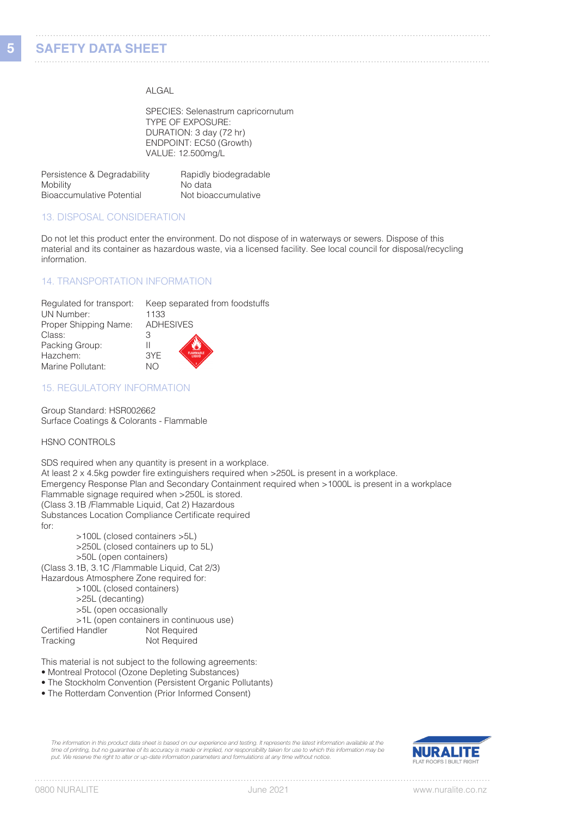#### ALGAL

 SPECIES: Selenastrum capricornutum TYPE OF EXPOSURE: DURATION: 3 day (72 hr) ENDPOINT: EC50 (Growth) VALUE: 12.500mg/L

| Persistence & Degradability | Rapidly biodegradable |
|-----------------------------|-----------------------|
| Mobility                    | No data               |
| Bioaccumulative Potential   | Not bioaccumulative   |

#### 13. DISPOSAL CONSIDERATION

Do not let this product enter the environment. Do not dispose of in waterways or sewers. Dispose of this material and its container as hazardous waste, via a licensed facility. See local council for disposal/recycling information.

#### 14. TRANSPORTATION INFORMATION

UN Number: 1133<br>Proper Shipping Name: ADHESIVES Proper Shipping Name: Class: 3<br>Packing Group: 11 Packing Group: Hazchem: 3YE Marine Pollutant: NO

Regulated for transport: Keep separated from foodstuffs<br>UN Number: 1133

#### 15. REGULATORY INFORMATION

Group Standard: HSR002662 Surface Coatings & Colorants - Flammable

#### HSNO CONTROLS

SDS required when any quantity is present in a workplace. At least 2 x 4.5kg powder fire extinguishers required when >250L is present in a workplace. Emergency Response Plan and Secondary Containment required when >1000L is present in a workplace Flammable signage required when >250L is stored. (Class 3.1B /Flammable Liquid, Cat 2) Hazardous Substances Location Compliance Certificate required for: >100L (closed containers >5L) >250L (closed containers up to 5L) >50L (open containers) (Class 3.1B, 3.1C /Flammable Liquid, Cat 2/3) Hazardous Atmosphere Zone required for:

>100L (closed containers)

>25L (decanting)

>5L (open occasionally

>1L (open containers in continuous use)

| Certified Handler | Not Required |
|-------------------|--------------|
| Tracking          | Not Required |

This material is not subject to the following agreements:

• Montreal Protocol (Ozone Depleting Substances)

- The Stockholm Convention (Persistent Organic Pollutants)
- The Rotterdam Convention (Prior Informed Consent)

*The information in this product data sheet is based on our experience and testing. It represents the latest information available at the time of printing, but no guarantee of its accuracy is made or implied, nor responsibility taken for use to which this information may be put. We reserve the right to alter or up-date information parameters and formulations at any time without notice.*